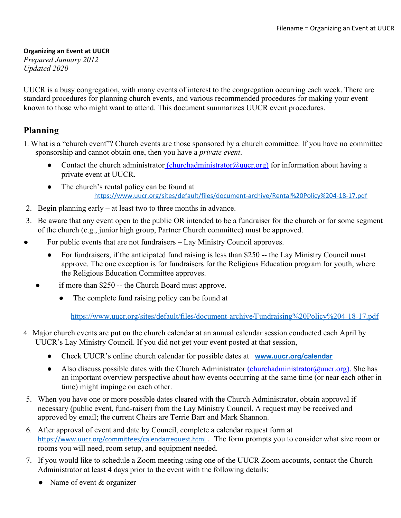## **Organizing an Event at UUCR**

*Prepared January 2012 Updated 2020*

UUCR is a busy congregation, with many events of interest to the congregation occurring each week. There are standard procedures for planning church events, and various recommended procedures for making your event known to those who might want to attend. This document summarizes UUCR event procedures.

## **Planning**

- 1. What is a "church event"? Church events are those sponsored by a church committee. If you have no committee sponsorship and cannot obtain one, then you have a *private event*.
	- Contact the church administrator *(churchadministrator @uucr.org)* for information about having a private event at UUCR.
	- The church's rental policy can be found at [https://www.uucr.org/sites/default/files/document-archive/Rental%20Policy%204-18-17.pdf](https://www.uucr.org/sites/default/files/document-archive/Rental%20Policy%204-18-17.pdf%20)
- 2. Begin planning early at least two to three months in advance.
- 3. Be aware that any event open to the public OR intended to be a fundraiser for the church or for some segment of the church (e.g., junior high group, Partner Church committee) must be approved.
- For public events that are not fundraisers Lay Ministry Council approves.
	- For fundraisers, if the anticipated fund raising is less than \$250 -- the Lay Ministry Council must approve. The one exception is for fundraisers for the Religious Education program for youth, where the Religious Education Committee approves.
	- if more than \$250 -- the Church Board must approve.
		- The complete fund raising policy can be found at

https://www.uucr.org/sites/default/files/document-archive/Fundraising%20Policy%204-18-17.pdf

- 4. Major church events are put on the church calendar at an annual calendar session conducted each April by UUCR's Lay Ministry Council. If you did not get your event posted at that session,
	- Check UUCR's online church calendar for possible dates at **[www.uucr.org/calendar](http://www.uucr.org/calendar)**
	- Also discuss possible dates with the Church Administrator (churchadministrator  $\omega$ uucr.org). She has an important overview perspective about how events occurring at the same time (or near each other in time) might impinge on each other.
- 5. When you have one or more possible dates cleared with the Church Administrator, obtain approval if necessary (public event, fund-raiser) from the Lay Ministry Council. A request may be received and approved by email; the current Chairs are Terrie Barr and Mark Shannon.
- 6. After approval of event and date by Council, complete a calendar request form at <https://www.uucr.org/committees/calendarrequest.html> . The form prompts you to consider what size room or rooms you will need, room setup, and equipment needed.
- 7. If you would like to schedule a Zoom meeting using one of the UUCR Zoom accounts, contact the Church Administrator at least 4 days prior to the event with the following details:
	- Name of event & organizer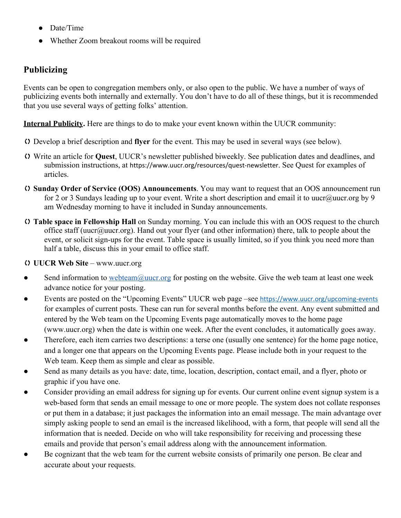- Date/Time
- Whether Zoom breakout rooms will be required

# **Publicizing**

Events can be open to congregation members only, or also open to the public. We have a number of ways of publicizing events both internally and externally. You don't have to do all of these things, but it is recommended that you use several ways of getting folks' attention.

**Internal Publicity.** Here are things to do to make your event known within the UUCR community:

- Develop a brief description and **flyer** for the event. This may be used in several ways (see below).
- Write an article for **Quest**, UUCR's newsletter published biweekly. See publication dates and deadlines, and submission instructions, at <https://www.uucr.org/resources/quest-newsletter>. See Quest for examples of articles.
- **Sunday Order of Service (OOS) Announcements**. You may want to request that an OOS announcement run for 2 or 3 Sundays leading up to your event. Write a short description and email it to uucr@uucr.org by 9 am Wednesday morning to have it included in Sunday announcements.
- **Table space in Fellowship Hall** on Sunday morning. You can include this with an OOS request to the church office staff (uucr@uucr.org). Hand out your flyer (and other information) there, talk to people about the event, or solicit sign-ups for the event. Table space is usually limited, so if you think you need more than half a table, discuss this in your email to office staff.

## **() UUCR Web Site – www.uucr.org**

- Send information to [webteam@uucr.org](mailto:webteam@uucr.org) for posting on the website. Give the web team at least one week advance notice for your posting.
- Events are posted on the "Upcoming Events" UUCR web page –see <https://www.uucr.org/upcoming-events> for examples of current posts. These can run for several months before the event. Any event submitted and entered by the Web team on the Upcoming Events page automatically moves to the home page (www.uucr.org) when the date is within one week. After the event concludes, it automatically goes away.
- Therefore, each item carries two descriptions: a terse one (usually one sentence) for the home page notice, and a longer one that appears on the Upcoming Events page. Please include both in your request to the Web team. Keep them as simple and clear as possible.
- Send as many details as you have: date, time, location, description, contact email, and a flyer, photo or graphic if you have one.
- Consider providing an email address for signing up for events. Our current online event signup system is a web-based form that sends an email message to one or more people. The system does not collate responses or put them in a database; it just packages the information into an email message. The main advantage over simply asking people to send an email is the increased likelihood, with a form, that people will send all the information that is needed. Decide on who will take responsibility for receiving and processing these emails and provide that person's email address along with the announcement information.
- Be cognizant that the web team for the current website consists of primarily one person. Be clear and accurate about your requests.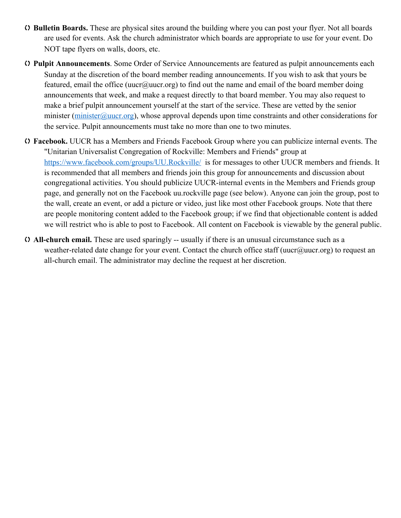- **Bulletin Boards.** These are physical sites around the building where you can post your flyer. Not all boards are used for events. Ask the church administrator which boards are appropriate to use for your event. Do NOT tape flyers on walls, doors, etc.
- **Pulpit Announcements**. Some Order of Service Announcements are featured as pulpit announcements each Sunday at the discretion of the board member reading announcements. If you wish to ask that yours be featured, email the office (uucr@uucr.org) to find out the name and email of the board member doing announcements that week, and make a request directly to that board member. You may also request to make a brief pulpit announcement yourself at the start of the service. These are vetted by the senior minister (minister  $\omega$ uucr.org), whose approval depends upon time constraints and other considerations for the service. Pulpit announcements must take no more than one to two minutes.
- **Facebook.** UUCR has a Members and Friends Facebook Group where you can publicize internal events. The "Unitarian Universalist Congregation of Rockville: Members and Friends" group at <https://www.facebook.com/groups/UU.Rockville/>is for messages to other UUCR members and friends. It is recommended that all members and friends join this group for announcements and discussion about congregational activities. You should publicize UUCR-internal events in the Members and Friends group page, and generally not on the Facebook uu.rockville page (see below). Anyone can join the group, post to the wall, create an event, or add a picture or video, just like most other Facebook groups. Note that there are people monitoring content added to the Facebook group; if we find that objectionable content is added we will restrict who is able to post to Facebook. All content on Facebook is viewable by the general public.
- **All-church email.** These are used sparingly -- usually if there is an unusual circumstance such as a weather-related date change for your event. Contact the church office staff (uucr@uucr.org) to request an all-church email. The administrator may decline the request at her discretion.